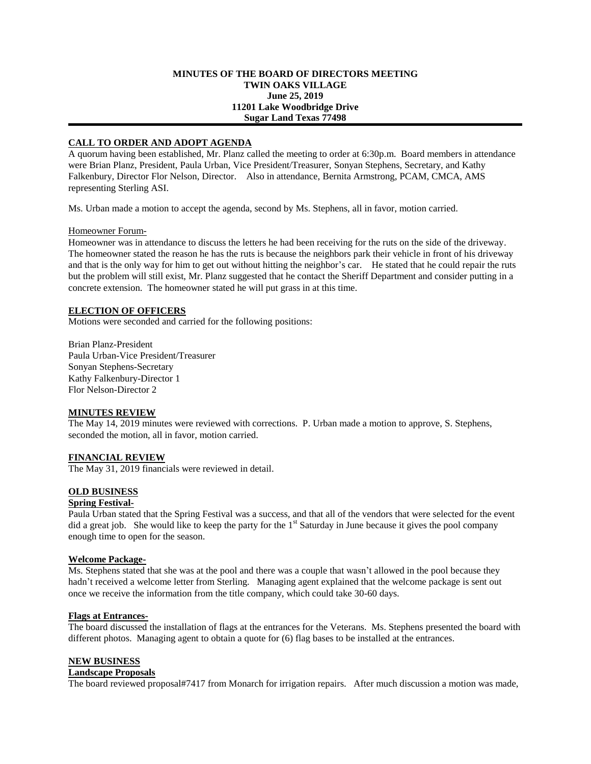### **MINUTES OF THE BOARD OF DIRECTORS MEETING TWIN OAKS VILLAGE June 25, 2019 11201 Lake Woodbridge Drive Sugar Land Texas 77498**

# **CALL TO ORDER AND ADOPT AGENDA**

A quorum having been established, Mr. Planz called the meeting to order at 6:30p.m. Board members in attendance were Brian Planz, President, Paula Urban, Vice President/Treasurer, Sonyan Stephens, Secretary, and Kathy Falkenbury, Director Flor Nelson, Director. Also in attendance, Bernita Armstrong, PCAM, CMCA, AMS representing Sterling ASI.

Ms. Urban made a motion to accept the agenda, second by Ms. Stephens, all in favor, motion carried.

## Homeowner Forum-

Homeowner was in attendance to discuss the letters he had been receiving for the ruts on the side of the driveway. The homeowner stated the reason he has the ruts is because the neighbors park their vehicle in front of his driveway and that is the only way for him to get out without hitting the neighbor's car. He stated that he could repair the ruts but the problem will still exist, Mr. Planz suggested that he contact the Sheriff Department and consider putting in a concrete extension. The homeowner stated he will put grass in at this time.

# **ELECTION OF OFFICERS**

Motions were seconded and carried for the following positions:

Brian Planz-President Paula Urban-Vice President/Treasurer Sonyan Stephens-Secretary Kathy Falkenbury-Director 1 Flor Nelson-Director 2

#### **MINUTES REVIEW**

The May 14, 2019 minutes were reviewed with corrections. P. Urban made a motion to approve, S. Stephens, seconded the motion, all in favor, motion carried.

#### **FINANCIAL REVIEW**

The May 31, 2019 financials were reviewed in detail.

# **OLD BUSINESS**

#### **Spring Festival-**

Paula Urban stated that the Spring Festival was a success, and that all of the vendors that were selected for the event did a great job. She would like to keep the party for the 1<sup>st</sup> Saturday in June because it gives the pool company enough time to open for the season.

#### **Welcome Package-**

Ms. Stephens stated that she was at the pool and there was a couple that wasn't allowed in the pool because they hadn't received a welcome letter from Sterling. Managing agent explained that the welcome package is sent out once we receive the information from the title company, which could take 30-60 days.

#### **Flags at Entrances-**

The board discussed the installation of flags at the entrances for the Veterans. Ms. Stephens presented the board with different photos. Managing agent to obtain a quote for (6) flag bases to be installed at the entrances.

#### **NEW BUSINESS**

## **Landscape Proposals**

The board reviewed proposal#7417 from Monarch for irrigation repairs. After much discussion a motion was made,